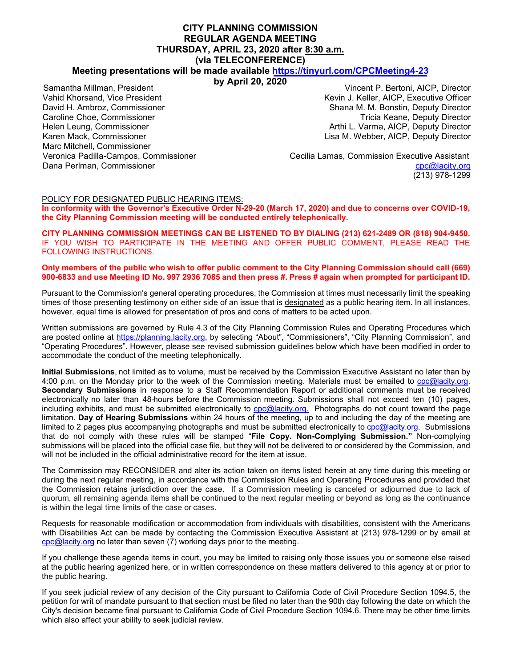#### **CITY PLANNING COMMISSION REGULAR AGENDA MEETING THURSDAY, APRIL 23, 2020 after 8:30 a.m. (via TELECONFERENCE)**

#### **Meeting presentations will be made available <https://tinyurl.com/CPCMeeting4-23>**

**by April 20, 2020** 

Samantha Millman, President Vahid Khorsand, Vice President David H. Ambroz, Commissioner Caroline Choe, Commissioner Helen Leung, Commissioner Karen Mack, Commissioner Marc Mitchell, Commissioner Veronica Padilla-Campos, Commissioner Dana Perlman, Commissioner

Vincent P. Bertoni, AICP, Director Kevin J. Keller, AICP, Executive Officer Shana M. M. Bonstin, Deputy Director Tricia Keane, Deputy Director Arthi L. Varma, AICP, Deputy Director Lisa M. Webber, AICP, Deputy Director

 Cecilia Lamas, Commission Executive Assistant [cpc@lacity.org](mailto:cpc@lacity.org) (213) 978-1299

#### POLICY FOR DESIGNATED PUBLIC HEARING ITEMS:

**In conformity with the Governor's Executive Order N-29-20 (March 17, 2020) and due to concerns over COVID-19, the City Planning Commission meeting will be conducted entirely telephonically.** 

**CITY PLANNING COMMISSION MEETINGS CAN BE LISTENED TO BY DIALING (213) 621-2489 OR (818) 904-9450.** IF YOU WISH TO PARTICIPATE IN THE MEETING AND OFFER PUBLIC COMMENT, PLEASE READ THE FOLLOWING INSTRUCTIONS.

#### **Only members of the public who wish to offer public comment to the City Planning Commission should call (669) 900-6833 and use Meeting ID No. 997 2936 7085 and then press #. Press # again when prompted for participant ID.**

Pursuant to the Commission's general operating procedures, the Commission at times must necessarily limit the speaking times of those presenting testimony on either side of an issue that is designated as a public hearing item. In all instances, however, equal time is allowed for presentation of pros and cons of matters to be acted upon.

Written submissions are governed by Rule 4.3 of the City Planning Commission Rules and Operating Procedures which are posted online at [https://planning.lacity.org,](https://planning.lacity.org/) by selecting "About", "Commissioners", "City Planning Commission", and "Operating Procedures". However, please see revised submission guidelines below which have been modified in order to accommodate the conduct of the meeting telephonically.

**Initial Submissions**, not limited as to volume, must be received by the Commission Executive Assistant no later than by 4:00 p.m. on the Monday prior to the week of the Commission meeting. Materials must be emailed to [cpc@lacity.org.](mailto:cpc@lacity.org) **Secondary Submissions** in response to a Staff Recommendation Report or additional comments must be received electronically no later than 48-hours before the Commission meeting. Submissions shall not exceed ten (10) pages, including exhibits, and must be submitted electronically to [cpc@lacity.org.](mailto:cpc@lacity.org) Photographs do not count toward the page limitation. **Day of Hearing Submissions** within 24 hours of the meeting, up to and including the day of the meeting are limited to 2 pages plus accompanying photographs and must be submitted electronically to [cpc@lacity.org.](mailto:cpc@lacity.org) Submissions that do not comply with these rules will be stamped "**File Copy. Non-Complying Submission."** Non-complying submissions will be placed into the official case file, but they will not be delivered to or considered by the Commission, and will not be included in the official administrative record for the item at issue.

The Commission may RECONSIDER and alter its action taken on items listed herein at any time during this meeting or during the next regular meeting, in accordance with the Commission Rules and Operating Procedures and provided that the Commission retains jurisdiction over the case. If a Commission meeting is canceled or adjourned due to lack of quorum, all remaining agenda items shall be continued to the next regular meeting or beyond as long as the continuance is within the legal time limits of the case or cases.

Requests for reasonable modification or accommodation from individuals with disabilities, consistent with the Americans with Disabilities Act can be made by contacting the Commission Executive Assistant at (213) 978-1299 or by email at [cpc@lacity.org](mailto:cpc@lacity.org) no later than seven (7) working days prior to the meeting.

If you challenge these agenda items in court, you may be limited to raising only those issues you or someone else raised at the public hearing agenized here, or in written correspondence on these matters delivered to this agency at or prior to the public hearing.

If you seek judicial review of any decision of the City pursuant to California Code of Civil Procedure Section 1094.5, the petition for writ of mandate pursuant to that section must be filed no later than the 90th day following the date on which the City's decision became final pursuant to California Code of Civil Procedure Section 1094.6. There may be other time limits which also affect your ability to seek judicial review.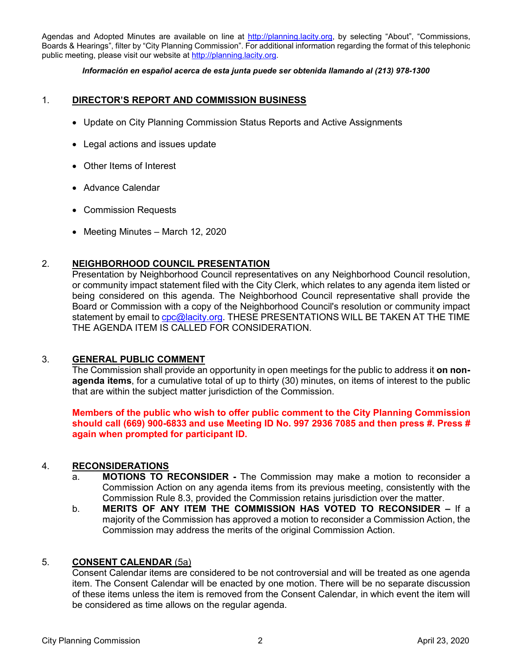Agendas and Adopted Minutes are available on line at http://planning.lacity.org, by selecting "About", "Commissions, Boards & Hearings", filter by "City Planning Commission". For additional information regarding the format of this telephonic public meeting, please visit our website at http://planning.lacity.org.

#### *Información en español acerca de esta junta puede ser obtenida llamando al (213) 978-1300*

### 1. **DIRECTOR'S REPORT AND COMMISSION BUSINESS**

- Update on City Planning Commission Status Reports and Active Assignments
- Legal actions and issues update
- Other Items of Interest
- Advance Calendar
- Commission Requests
- Meeting Minutes March 12, 2020

# 2. **NEIGHBORHOOD COUNCIL PRESENTATION**

Presentation by Neighborhood Council representatives on any Neighborhood Council resolution, or community impact statement filed with the City Clerk, which relates to any agenda item listed or being considered on this agenda. The Neighborhood Council representative shall provide the Board or Commission with a copy of the Neighborhood Council's resolution or community impact statement by email to cpc@lacity.org. THESE PRESENTATIONS WILL BE TAKEN AT THE TIME THE AGENDA ITEM IS CALLED FOR CONSIDERATION.

#### 3. **GENERAL PUBLIC COMMENT**

The Commission shall provide an opportunity in open meetings for the public to address it **on nonagenda items**, for a cumulative total of up to thirty (30) minutes, on items of interest to the public that are within the subject matter jurisdiction of the Commission.

**Members of the public who wish to offer public comment to the City Planning Commission should call (669) 900-6833 and use Meeting ID No. 997 2936 7085 and then press #. Press # again when prompted for participant ID.**

#### 4. **RECONSIDERATIONS**

- a. **MOTIONS TO RECONSIDER -** The Commission may make a motion to reconsider a Commission Action on any agenda items from its previous meeting, consistently with the Commission Rule 8.3, provided the Commission retains jurisdiction over the matter.
- b. **MERITS OF ANY ITEM THE COMMISSION HAS VOTED TO RECONSIDER –** If a majority of the Commission has approved a motion to reconsider a Commission Action, the Commission may address the merits of the original Commission Action.

#### 5. **CONSENT CALENDAR** (5a)

Consent Calendar items are considered to be not controversial and will be treated as one agenda item. The Consent Calendar will be enacted by one motion. There will be no separate discussion of these items unless the item is removed from the Consent Calendar, in which event the item will be considered as time allows on the regular agenda.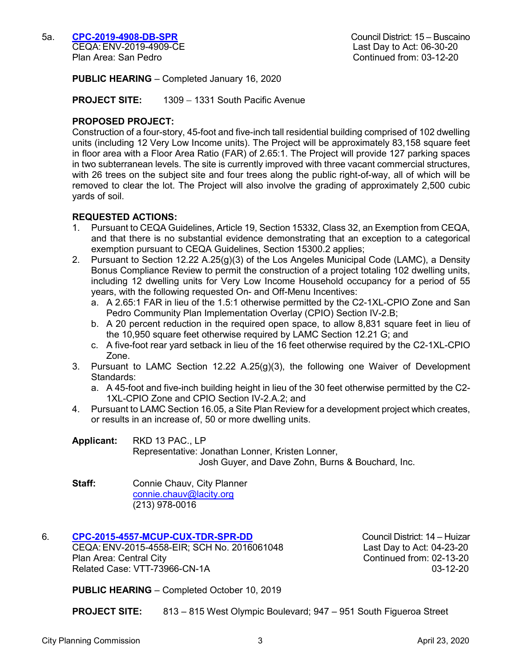**PUBLIC HEARING** – Completed January 16, 2020

**PROJECT SITE:** 1309 – 1331 South Pacific Avenue

### **PROPOSED PROJECT:**

Construction of a four-story, 45-foot and five-inch tall residential building comprised of 102 dwelling units (including 12 Very Low Income units). The Project will be approximately 83,158 square feet in floor area with a Floor Area Ratio (FAR) of 2.65:1. The Project will provide 127 parking spaces in two subterranean levels. The site is currently improved with three vacant commercial structures, with 26 trees on the subject site and four trees along the public right-of-way, all of which will be removed to clear the lot. The Project will also involve the grading of approximately 2,500 cubic yards of soil.

#### **REQUESTED ACTIONS:**

- 1. Pursuant to CEQA Guidelines, Article 19, Section 15332, Class 32, an Exemption from CEQA, and that there is no substantial evidence demonstrating that an exception to a categorical exemption pursuant to CEQA Guidelines, Section 15300.2 applies;
- 2. Pursuant to Section 12.22 A.25(g)(3) of the Los Angeles Municipal Code (LAMC), a Density Bonus Compliance Review to permit the construction of a project totaling 102 dwelling units, including 12 dwelling units for Very Low Income Household occupancy for a period of 55 years, with the following requested On- and Off-Menu Incentives:
	- a. A 2.65:1 FAR in lieu of the 1.5:1 otherwise permitted by the C2-1XL-CPIO Zone and San Pedro Community Plan Implementation Overlay (CPIO) Section IV-2.B;
	- b. A 20 percent reduction in the required open space, to allow 8,831 square feet in lieu of the 10,950 square feet otherwise required by LAMC Section 12.21 G; and
	- c. A five-foot rear yard setback in lieu of the 16 feet otherwise required by the C2-1XL-CPIO Zone.
- 3. Pursuant to LAMC Section 12.22 A.25(g)(3), the following one Waiver of Development Standards:
	- a. A 45-foot and five-inch building height in lieu of the 30 feet otherwise permitted by the C2- 1XL-CPIO Zone and CPIO Section IV-2.A.2; and
- 4. Pursuant to LAMC Section 16.05, a Site Plan Review for a development project which creates, or results in an increase of, 50 or more dwelling units.

**Applicant:** RKD 13 PAC., LP

Representative: Jonathan Lonner, Kristen Lonner, Josh Guyer, and Dave Zohn, Burns & Bouchard, Inc.

**Staff:** Connie Chauv, City Planner [connie.chauv@lacity.org](mailto:connie.chauv@lacity.org) (213) 978-0016

# 6. **[CPC-2015-4557-MCUP-CUX-TDR-SPR-DD](https://planning.lacity.org/odocument/032acb5d-ed67-49dd-9f23-3da567087365/CPC-2015-4557_(4).pdf)** Council District: 14 – Huizar

CEQA:ENV-2015-4558-EIR; SCH No. 2016061048 Last Day to Act: 04-23-20 Plan Area: Central City Continued from: 02-13-20 Related Case: VTT-73966-CN-1A 03-12-20

**PUBLIC HEARING** – Completed October 10, 2019

**PROJECT SITE:** 813 – 815 West Olympic Boulevard; 947 – 951 South Figueroa Street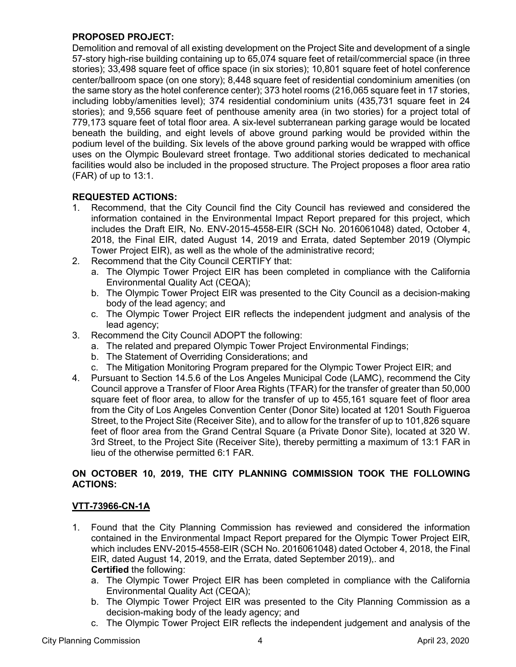# **PROPOSED PROJECT:**

Demolition and removal of all existing development on the Project Site and development of a single 57-story high-rise building containing up to 65,074 square feet of retail/commercial space (in three stories); 33,498 square feet of office space (in six stories); 10,801 square feet of hotel conference center/ballroom space (on one story); 8,448 square feet of residential condominium amenities (on the same story as the hotel conference center); 373 hotel rooms (216,065 square feet in 17 stories, including lobby/amenities level); 374 residential condominium units (435,731 square feet in 24 stories); and 9,556 square feet of penthouse amenity area (in two stories) for a project total of 779,173 square feet of total floor area. A six-level subterranean parking garage would be located beneath the building, and eight levels of above ground parking would be provided within the podium level of the building. Six levels of the above ground parking would be wrapped with office uses on the Olympic Boulevard street frontage. Two additional stories dedicated to mechanical facilities would also be included in the proposed structure. The Project proposes a floor area ratio (FAR) of up to 13:1.

# **REQUESTED ACTIONS:**

- 1. Recommend, that the City Council find the City Council has reviewed and considered the information contained in the Environmental Impact Report prepared for this project, which includes the Draft EIR, No. ENV-2015-4558-EIR (SCH No. 2016061048) dated, October 4, 2018, the Final EIR, dated August 14, 2019 and Errata, dated September 2019 (Olympic Tower Project EIR), as well as the whole of the administrative record;
- 2. Recommend that the City Council CERTIFY that:
	- a. The Olympic Tower Project EIR has been completed in compliance with the California Environmental Quality Act (CEQA);
	- b. The Olympic Tower Project EIR was presented to the City Council as a decision-making body of the lead agency; and
	- c. The Olympic Tower Project EIR reflects the independent judgment and analysis of the lead agency;
- 3. Recommend the City Council ADOPT the following:
	- a. The related and prepared Olympic Tower Project Environmental Findings;
	- b. The Statement of Overriding Considerations; and
	- c. The Mitigation Monitoring Program prepared for the Olympic Tower Project EIR; and
- 4. Pursuant to Section 14.5.6 of the Los Angeles Municipal Code (LAMC), recommend the City Council approve a Transfer of Floor Area Rights (TFAR) for the transfer of greater than 50,000 square feet of floor area, to allow for the transfer of up to 455,161 square feet of floor area from the City of Los Angeles Convention Center (Donor Site) located at 1201 South Figueroa Street, to the Project Site (Receiver Site), and to allow for the transfer of up to 101,826 square feet of floor area from the Grand Central Square (a Private Donor Site), located at 320 W. 3rd Street, to the Project Site (Receiver Site), thereby permitting a maximum of 13:1 FAR in lieu of the otherwise permitted 6:1 FAR.

# **ON OCTOBER 10, 2019, THE CITY PLANNING COMMISSION TOOK THE FOLLOWING ACTIONS:**

# **VTT-73966-CN-1A**

- 1. Found that the City Planning Commission has reviewed and considered the information contained in the Environmental Impact Report prepared for the Olympic Tower Project EIR, which includes ENV-2015-4558-EIR (SCH No. 2016061048) dated October 4, 2018, the Final EIR, dated August 14, 2019, and the Errata, dated September 2019),. and **Certified** the following:
	- a. The Olympic Tower Project EIR has been completed in compliance with the California Environmental Quality Act (CEQA);
	- b. The Olympic Tower Project EIR was presented to the City Planning Commission as a decision-making body of the leady agency; and
	- c. The Olympic Tower Project EIR reflects the independent judgement and analysis of the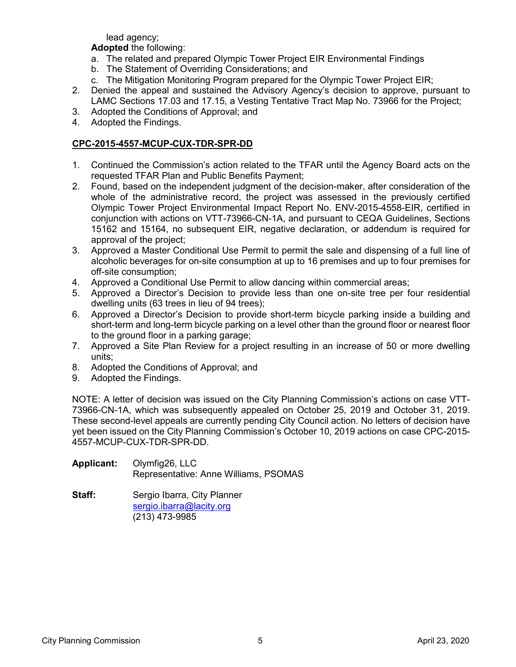lead agency;

**Adopted** the following:

- a. The related and prepared Olympic Tower Project EIR Environmental Findings
- b. The Statement of Overriding Considerations; and
- c. The Mitigation Monitoring Program prepared for the Olympic Tower Project EIR;
- 2. Denied the appeal and sustained the Advisory Agency's decision to approve, pursuant to LAMC Sections 17.03 and 17.15, a Vesting Tentative Tract Map No. 73966 for the Project;
- 3. Adopted the Conditions of Approval; and
- 4. Adopted the Findings.

# **CPC-2015-4557-MCUP-CUX-TDR-SPR-DD**

- 1. Continued the Commission's action related to the TFAR until the Agency Board acts on the requested TFAR Plan and Public Benefits Payment;
- 2. Found, based on the independent judgment of the decision-maker, after consideration of the whole of the administrative record, the project was assessed in the previously certified Olympic Tower Project Environmental Impact Report No. ENV-2015-4558-EIR, certified in conjunction with actions on VTT-73966-CN-1A, and pursuant to CEQA Guidelines, Sections 15162 and 15164, no subsequent EIR, negative declaration, or addendum is required for approval of the project;
- 3. Approved a Master Conditional Use Permit to permit the sale and dispensing of a full line of alcoholic beverages for on-site consumption at up to 16 premises and up to four premises for off-site consumption;
- 4. Approved a Conditional Use Permit to allow dancing within commercial areas;
- 5. Approved a Director's Decision to provide less than one on-site tree per four residential dwelling units (63 trees in lieu of 94 trees);
- 6. Approved a Director's Decision to provide short-term bicycle parking inside a building and short-term and long-term bicycle parking on a level other than the ground floor or nearest floor to the ground floor in a parking garage;
- 7. Approved a Site Plan Review for a project resulting in an increase of 50 or more dwelling units;
- 8. Adopted the Conditions of Approval; and
- 9. Adopted the Findings.

NOTE: A letter of decision was issued on the City Planning Commission's actions on case VTT-73966-CN-1A, which was subsequently appealed on October 25, 2019 and October 31, 2019. These second-level appeals are currently pending City Council action. No letters of decision have yet been issued on the City Planning Commission's October 10, 2019 actions on case CPC-2015- 4557-MCUP-CUX-TDR-SPR-DD.

- **Applicant:** Olymfig26, LLC Representative: Anne Williams, PSOMAS
- **Staff:** Sergio Ibarra, City Planner [sergio.ibarra@lacity.org](mailto:sergio.ibarra@lacity.org) (213) 473-9985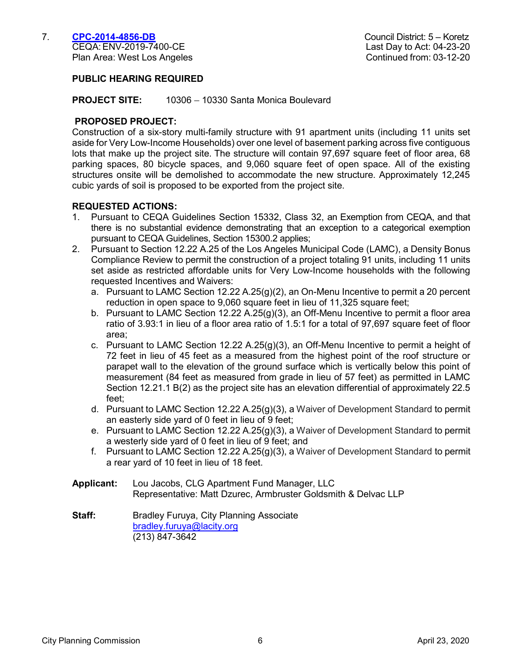# **PUBLIC HEARING REQUIRED**

**PROJECT SITE:** 10306 – 10330 Santa Monica Boulevard

#### **PROPOSED PROJECT:**

Construction of a six-story multi-family structure with 91 apartment units (including 11 units set aside for Very Low-Income Households) over one level of basement parking across five contiguous lots that make up the project site. The structure will contain 97,697 square feet of floor area, 68 parking spaces, 80 bicycle spaces, and 9,060 square feet of open space. All of the existing structures onsite will be demolished to accommodate the new structure. Approximately 12,245 cubic yards of soil is proposed to be exported from the project site.

#### **REQUESTED ACTIONS:**

- 1. Pursuant to CEQA Guidelines Section 15332, Class 32, an Exemption from CEQA, and that there is no substantial evidence demonstrating that an exception to a categorical exemption pursuant to CEQA Guidelines, Section 15300.2 applies;
- 2. Pursuant to Section 12.22 A.25 of the Los Angeles Municipal Code (LAMC), a Density Bonus Compliance Review to permit the construction of a project totaling 91 units, including 11 units set aside as restricted affordable units for Very Low-Income households with the following requested Incentives and Waivers:
	- a. Pursuant to LAMC Section 12.22 A.25 $(g)(2)$ , an On-Menu Incentive to permit a 20 percent reduction in open space to 9,060 square feet in lieu of 11,325 square feet;
	- b. Pursuant to LAMC Section 12.22 A.25(g)(3), an Off-Menu Incentive to permit a floor area ratio of 3.93:1 in lieu of a floor area ratio of 1.5:1 for a total of 97,697 square feet of floor area;
	- c. Pursuant to LAMC Section 12.22 A.25(g)(3), an Off-Menu Incentive to permit a height of 72 feet in lieu of 45 feet as a measured from the highest point of the roof structure or parapet wall to the elevation of the ground surface which is vertically below this point of measurement (84 feet as measured from grade in lieu of 57 feet) as permitted in LAMC Section 12.21.1 B(2) as the project site has an elevation differential of approximately 22.5 feet;
	- d. Pursuant to LAMC Section 12.22 A.25(g)(3), a Waiver of Development Standard to permit an easterly side yard of 0 feet in lieu of 9 feet;
	- e. Pursuant to LAMC Section 12.22 A.25(g)(3), a Waiver of Development Standard to permit a westerly side yard of 0 feet in lieu of 9 feet; and
	- f. Pursuant to LAMC Section 12.22 A.25(g)(3), a Waiver of Development Standard to permit a rear yard of 10 feet in lieu of 18 feet.
- **Applicant:** Lou Jacobs, CLG Apartment Fund Manager, LLC Representative: Matt Dzurec, Armbruster Goldsmith & Delvac LLP
- **Staff:** Bradley Furuya, City Planning Associate [bradley.furuya@lacity.org](mailto:bradley.furuya@lacity.org) (213) 847-3642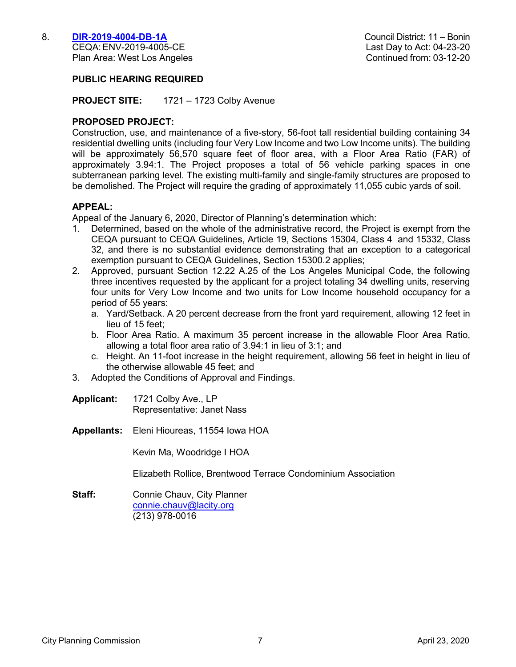CEQA: ENV-2019-4005-CE Plan Area: West Los Angeles Continued from: 03-12-20

### **PUBLIC HEARING REQUIRED**

**PROJECT SITE:** 1721 – 1723 Colby Avenue

### **PROPOSED PROJECT:**

Construction, use, and maintenance of a five-story, 56-foot tall residential building containing 34 residential dwelling units (including four Very Low Income and two Low Income units). The building will be approximately 56,570 square feet of floor area, with a Floor Area Ratio (FAR) of approximately 3.94:1. The Project proposes a total of 56 vehicle parking spaces in one subterranean parking level. The existing multi-family and single-family structures are proposed to be demolished. The Project will require the grading of approximately 11,055 cubic yards of soil.

#### **APPEAL:**

Appeal of the January 6, 2020, Director of Planning's determination which:

- 1. Determined, based on the whole of the administrative record, the Project is exempt from the CEQA pursuant to CEQA Guidelines, Article 19, Sections 15304, Class 4 and 15332, Class 32, and there is no substantial evidence demonstrating that an exception to a categorical exemption pursuant to CEQA Guidelines, Section 15300.2 applies;
- 2. Approved, pursuant Section 12.22 A.25 of the Los Angeles Municipal Code, the following three incentives requested by the applicant for a project totaling 34 dwelling units, reserving four units for Very Low Income and two units for Low Income household occupancy for a period of 55 years:
	- a. Yard/Setback. A 20 percent decrease from the front yard requirement, allowing 12 feet in lieu of 15 feet;
	- b. Floor Area Ratio. A maximum 35 percent increase in the allowable Floor Area Ratio, allowing a total floor area ratio of 3.94:1 in lieu of 3:1; and
	- c. Height. An 11-foot increase in the height requirement, allowing 56 feet in height in lieu of the otherwise allowable 45 feet; and
- 3. Adopted the Conditions of Approval and Findings.

**Applicant:** 1721 Colby Ave., LP Representative: Janet Nass

**Appellants:** Eleni Hioureas, 11554 Iowa HOA

Kevin Ma, Woodridge I HOA

Elizabeth Rollice, Brentwood Terrace Condominium Association

**Staff:** Connie Chauv, City Planner [connie.chauv@lacity.org](mailto:connie.chauv@lacity.org) (213) 978-0016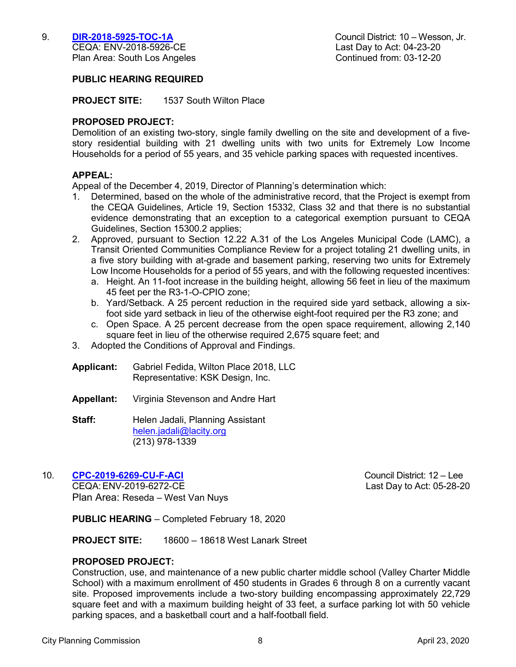CEQA: ENV-2018-5926-CE Plan Area: South Los Angeles Continued from: 03-12-20

### **PUBLIC HEARING REQUIRED**

**PROJECT SITE:** 1537 South Wilton Place

### **PROPOSED PROJECT:**

Demolition of an existing two-story, single family dwelling on the site and development of a fivestory residential building with 21 dwelling units with two units for Extremely Low Income Households for a period of 55 years, and 35 vehicle parking spaces with requested incentives.

### **APPEAL:**

Appeal of the December 4, 2019, Director of Planning's determination which:

- 1. Determined, based on the whole of the administrative record, that the Project is exempt from the CEQA Guidelines, Article 19, Section 15332, Class 32 and that there is no substantial evidence demonstrating that an exception to a categorical exemption pursuant to CEQA Guidelines, Section 15300.2 applies;
- 2. Approved, pursuant to Section 12.22 A.31 of the Los Angeles Municipal Code (LAMC), a Transit Oriented Communities Compliance Review for a project totaling 21 dwelling units, in a five story building with at-grade and basement parking, reserving two units for Extremely Low Income Households for a period of 55 years, and with the following requested incentives:
	- a. Height. An 11-foot increase in the building height, allowing 56 feet in lieu of the maximum 45 feet per the R3-1-O-CPIO zone;
	- b. Yard/Setback. A 25 percent reduction in the required side yard setback, allowing a sixfoot side yard setback in lieu of the otherwise eight-foot required per the R3 zone; and
	- c. Open Space. A 25 percent decrease from the open space requirement, allowing 2,140 square feet in lieu of the otherwise required 2,675 square feet; and
- 3. Adopted the Conditions of Approval and Findings.
- **Applicant:** Gabriel Fedida, Wilton Place 2018, LLC Representative: KSK Design, Inc.
- **Appellant:** Virginia Stevenson and Andre Hart
- **Staff:** Helen Jadali, Planning Assistant [helen.jadali@lacity.org](mailto:helen.jadali@lacity.org) (213) 978-1339

# 10. **[CPC-2019-6269-CU-F-ACI](https://planning.lacity.org/odocument/71567467-d4af-4fd1-a525-6b1e5435de7d/CPC-2019-6269.pdf)** Council District: 12 – Lee

CEQA: ENV-2019-6272-CE Last Day to Act: 05-28-20 Plan Area: Reseda – West Van Nuys

**PUBLIC HEARING** – Completed February 18, 2020

**PROJECT SITE:** 18600 – 18618 West Lanark Street

#### **PROPOSED PROJECT:**

Construction, use, and maintenance of a new public charter middle school (Valley Charter Middle School) with a maximum enrollment of 450 students in Grades 6 through 8 on a currently vacant site. Proposed improvements include a two-story building encompassing approximately 22,729 square feet and with a maximum building height of 33 feet, a surface parking lot with 50 vehicle parking spaces, and a basketball court and a half-football field.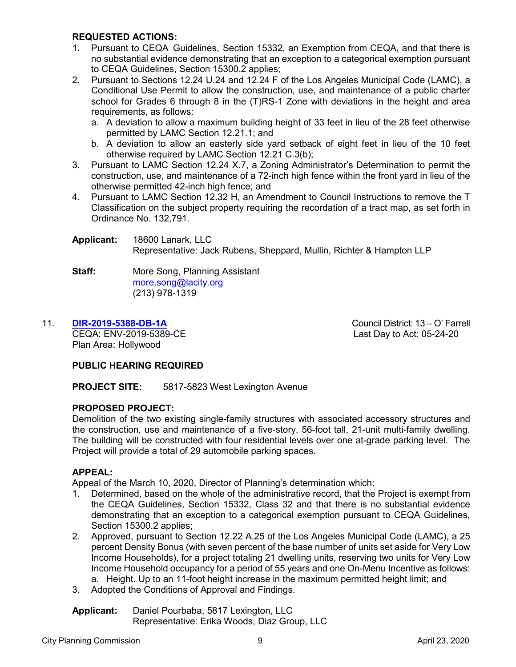# **REQUESTED ACTIONS:**

- 1. Pursuant to CEQA Guidelines, Section 15332, an Exemption from CEQA, and that there is no substantial evidence demonstrating that an exception to a categorical exemption pursuant to CEQA Guidelines, Section 15300.2 applies;
- 2. Pursuant to Sections 12.24 U.24 and 12.24 F of the Los Angeles Municipal Code (LAMC), a Conditional Use Permit to allow the construction, use, and maintenance of a public charter school for Grades 6 through 8 in the (T)RS-1 Zone with deviations in the height and area requirements, as follows:
	- a. A deviation to allow a maximum building height of 33 feet in lieu of the 28 feet otherwise permitted by LAMC Section 12.21.1; and
	- b. A deviation to allow an easterly side yard setback of eight feet in lieu of the 10 feet otherwise required by LAMC Section 12.21 C.3(b);
- 3. Pursuant to LAMC Section 12.24 X.7, a Zoning Administrator's Determination to permit the construction, use, and maintenance of a 72-inch high fence within the front yard in lieu of the otherwise permitted 42-inch high fence; and
- 4. Pursuant to LAMC Section 12.32 H, an Amendment to Council Instructions to remove the T Classification on the subject property requiring the recordation of a tract map, as set forth in Ordinance No. 132,791.
- **Applicant:** 18600 Lanark, LLC Representative: Jack Rubens, Sheppard, Mullin, Richter & Hampton LLP
- **Staff:** More Song, Planning Assistant [more.song@lacity.org](mailto:more.song@lacity.org) (213) 978-1319

# 11. **[DIR-2019-5388-DB-1A](https://planning.lacity.org/odocument/1eb8abef-a6c2-4198-9690-f51ba2611751/DIR-2019-5388.pdf)** Council District: 13 – O' Farrell

CEQA: ENV-2019-5389-CE Last Day to Act: 05-24-20 Plan Area: Hollywood

# **PUBLIC HEARING REQUIRED**

**PROJECT SITE:** 5817-5823 West Lexington Avenue

# **PROPOSED PROJECT:**

Demolition of the two existing single-family structures with associated accessory structures and the construction, use and maintenance of a five-story, 56-foot tall, 21-unit multi-family dwelling. The building will be constructed with four residential levels over one at-grade parking level. The Project will provide a total of 29 automobile parking spaces.

# **APPEAL:**

Appeal of the March 10, 2020, Director of Planning's determination which:

- 1. Determined, based on the whole of the administrative record, that the Project is exempt from the CEQA Guidelines, Section 15332, Class 32 and that there is no substantial evidence demonstrating that an exception to a categorical exemption pursuant to CEQA Guidelines, Section 15300.2 applies;
- 2. Approved, pursuant to Section 12.22 A.25 of the Los Angeles Municipal Code (LAMC), a 25 percent Density Bonus (with seven percent of the base number of units set aside for Very Low Income Households), for a project totaling 21 dwelling units, reserving two units for Very Low Income Household occupancy for a period of 55 years and one On-Menu Incentive as follows: a. Height. Up to an 11-foot height increase in the maximum permitted height limit; and
- 3. Adopted the Conditions of Approval and Findings.

**Applicant:** Daniel Pourbaba, 5817 Lexington, LLC Representative: Erika Woods, Diaz Group, LLC